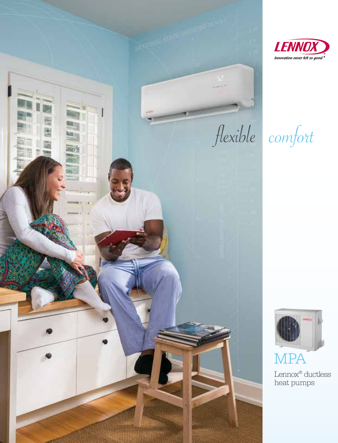





MPA Lennox® ductless heat pumps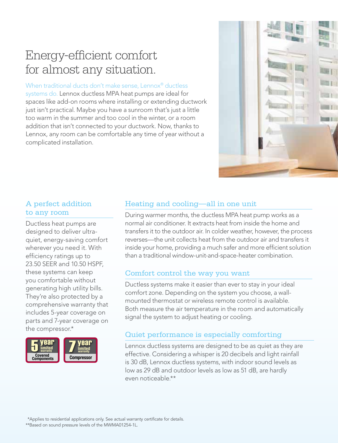# Energy-efficient comfort for almost any situation.

#### When traditional ducts don't make sense, Lennox® ductless

systems do. Lennox ductless MPA heat pumps are ideal for spaces like add-on rooms where installing or extending ductwork just isn't practical. Maybe you have a sunroom that's just a little too warm in the summer and too cool in the winter, or a room addition that isn't connected to your ductwork. Now, thanks to Lennox, any room can be comfortable any time of year without a complicated installation.



# A perfect addition to any room

generating high utility bills. wherever you need it. V<br>efficiency ratings up to 23.50 SEER and 10.50 HSPF, They're also protected by a parts and 7-year coverage on per to error *r* you.<br>the compressor.\* wherever you need it. With where by start can the spiritual<br>you comfortable without<br>generating high utility bil :omprener<br>ncludes 5-<br>parts and 7 Ductless heat pumps are designed to deliver ultraquiet, energy-saving comfort these systems can keep comprehensive warranty that includes 5-year coverage on



# Heating and cooling—all in one unit

During warmer months, the ductless MPA heat pump works as a normal air conditioner. It extracts heat from inside the home and transfers it to the outdoor air. In colder weather, however, the process reverses—the unit collects heat from the outdoor air and transfers it inside your home, providing a much safer and more efficient solution than a traditional window-unit-and-space-heater combination.

# Comfort control the way you want

Ductless systems make it easier than ever to stay in your ideal comfort zone. Depending on the system you choose, a wallmounted thermostat or wireless remote control is available. Both measure the air temperature in the room and automatically signal the system to adjust heating or cooling.

# Quiet performance is especially comforting

Lennox ductless systems are designed to be as quiet as they are effective. Considering a whisper is 20 decibels and light rainfall is 30 dB, Lennox ductless systems, with indoor sound levels as low as 29 dB and outdoor levels as low as 51 dB, are hardly even noticeable.\*\*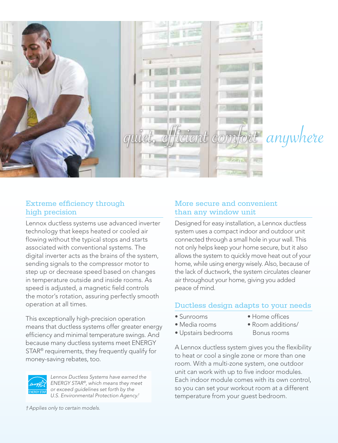

anywhere

### Extreme efficiency through high precision

Lennox ductless systems use advanced inverter technology that keeps heated or cooled air flowing without the typical stops and starts associated with conventional systems. The digital inverter acts as the brains of the system, sending signals to the compressor motor to step up or decrease speed based on changes in temperature outside and inside rooms. As speed is adjusted, a magnetic field controls the motor's rotation, assuring perfectly smooth operation at all times.

This exceptionally high-precision operation means that ductless systems offer greater energy efficiency and minimal temperature swings. And because many ductless systems meet ENERGY STAR<sup>®</sup> requirements, they frequently qualify for money-saving rebates, too.



*Lennox Ductless Systems have earned the ENERGY STAR®, which means they meet or exceed guidelines set forth by the U.S. Environmental Protection Agency.†*

# More secure and convenient than any window unit

Designed for easy installation, a Lennox ductless system uses a compact indoor and outdoor unit connected through a small hole in your wall. This not only helps keep your home secure, but it also allows the system to quickly move heat out of your home, while using energy wisely. Also, because of the lack of ductwork, the system circulates cleaner air throughout your home, giving you added peace of mind.

# Ductless design adapts to your needs

- Sunrooms
- Media rooms
- Upstairs bedrooms
- Home offices
- Room additions/
	- Bonus rooms

A Lennox ductless system gives you the flexibility to heat or cool a single zone or more than one room. With a multi-zone system, one outdoor unit can work with up to five indoor modules. Each indoor module comes with its own control, so you can set your workout room at a different temperature from your guest bedroom.

*†Applies only to certain models.*